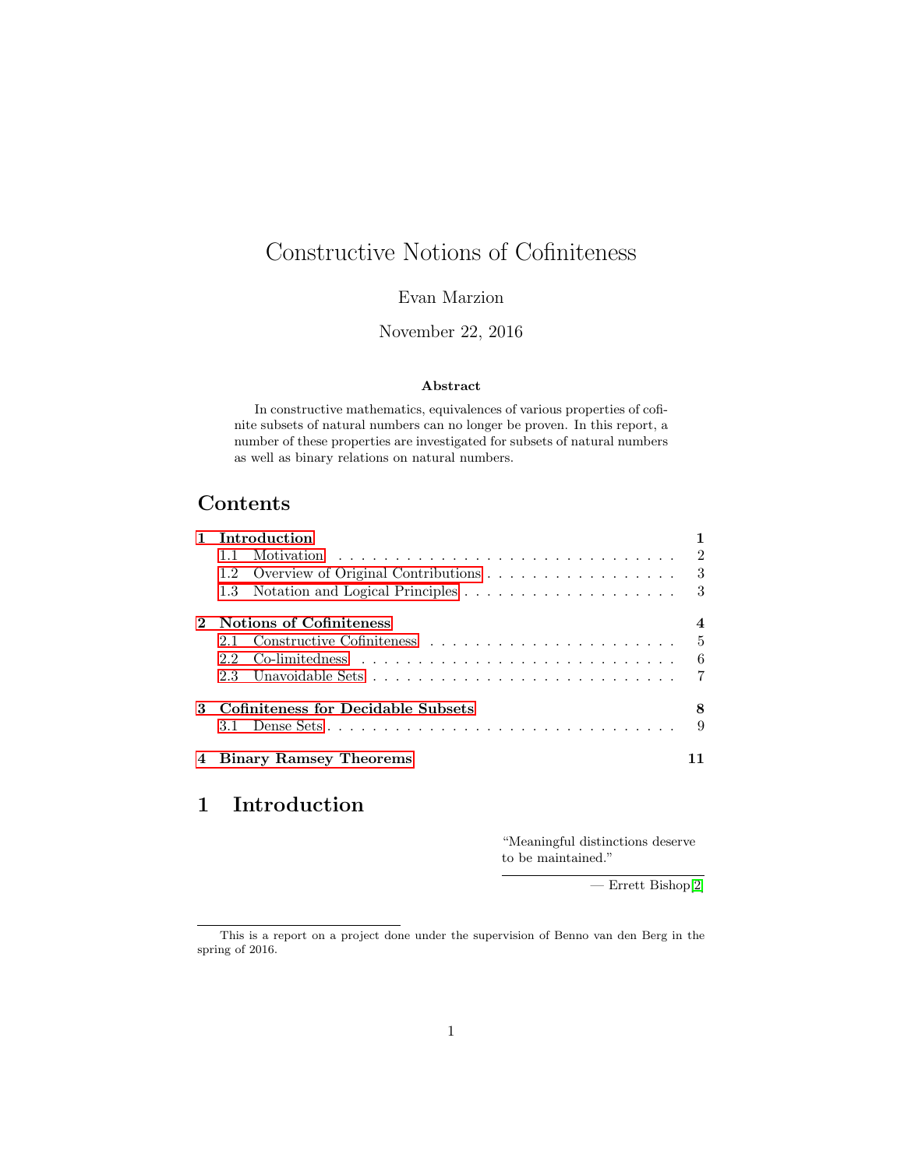# Constructive Notions of Cofiniteness

Evan Marzion

November 22, 2016

#### Abstract

In constructive mathematics, equivalences of various properties of cofinite subsets of natural numbers can no longer be proven. In this report, a number of these properties are investigated for subsets of natural numbers as well as binary relations on natural numbers.

# Contents

| Introduction |  |                                                                                                                                                |
|--------------|--|------------------------------------------------------------------------------------------------------------------------------------------------|
| $1.1 -$      |  | $\overline{2}$                                                                                                                                 |
|              |  |                                                                                                                                                |
|              |  |                                                                                                                                                |
|              |  | 4                                                                                                                                              |
| $21-$        |  | $\overline{5}$                                                                                                                                 |
|              |  | - 6                                                                                                                                            |
|              |  | $\overline{7}$                                                                                                                                 |
|              |  | 8                                                                                                                                              |
|              |  | 9                                                                                                                                              |
|              |  |                                                                                                                                                |
|              |  | 1.2 Overview of Original Contributions 3<br><b>Notions of Cofiniteness</b><br>3 Cofiniteness for Decidable Subsets<br>4 Binary Ramsey Theorems |

# <span id="page-0-0"></span>1 Introduction

"Meaningful distinctions deserve to be maintained."

— Errett Bishop[\[2\]](#page-13-0)

This is a report on a project done under the supervision of Benno van den Berg in the spring of 2016.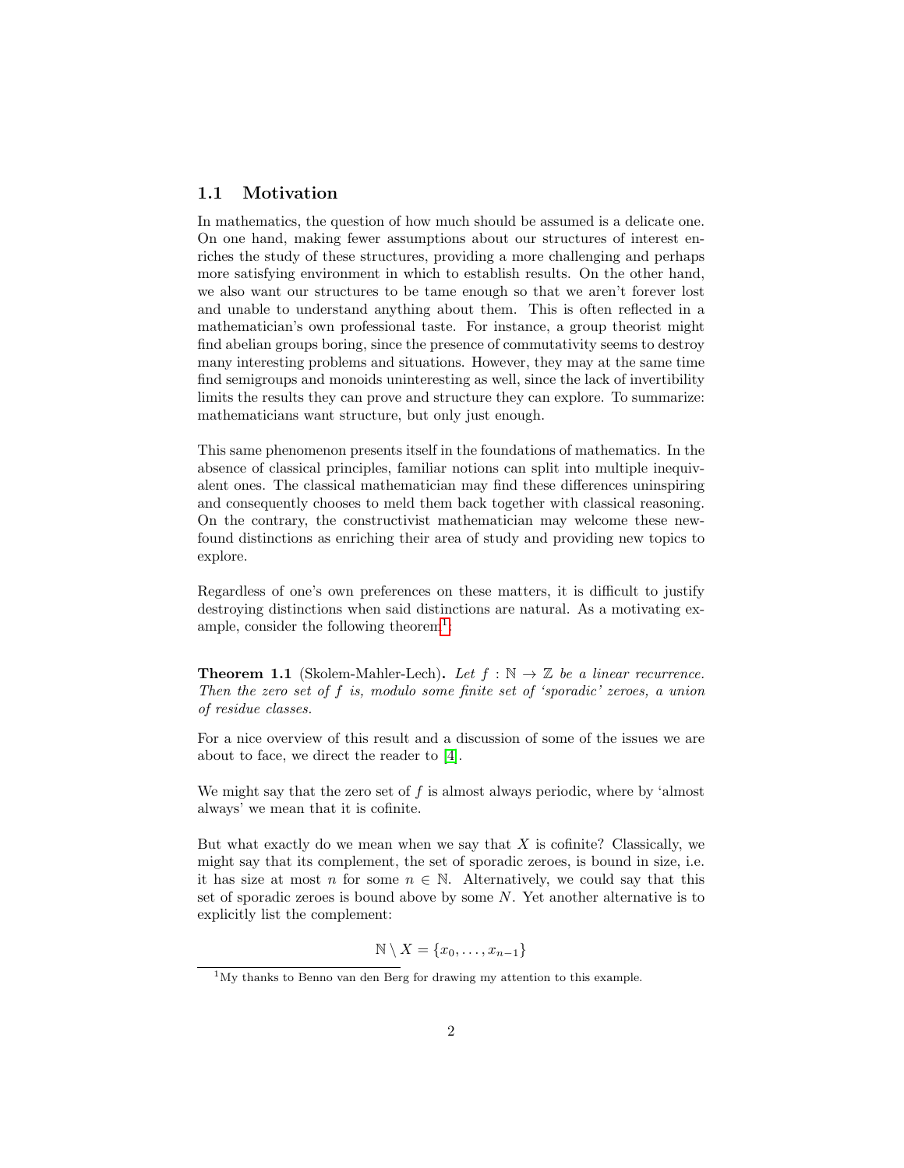### <span id="page-1-0"></span>1.1 Motivation

In mathematics, the question of how much should be assumed is a delicate one. On one hand, making fewer assumptions about our structures of interest enriches the study of these structures, providing a more challenging and perhaps more satisfying environment in which to establish results. On the other hand, we also want our structures to be tame enough so that we aren't forever lost and unable to understand anything about them. This is often reflected in a mathematician's own professional taste. For instance, a group theorist might find abelian groups boring, since the presence of commutativity seems to destroy many interesting problems and situations. However, they may at the same time find semigroups and monoids uninteresting as well, since the lack of invertibility limits the results they can prove and structure they can explore. To summarize: mathematicians want structure, but only just enough.

This same phenomenon presents itself in the foundations of mathematics. In the absence of classical principles, familiar notions can split into multiple inequivalent ones. The classical mathematician may find these differences uninspiring and consequently chooses to meld them back together with classical reasoning. On the contrary, the constructivist mathematician may welcome these newfound distinctions as enriching their area of study and providing new topics to explore.

Regardless of one's own preferences on these matters, it is difficult to justify destroying distinctions when said distinctions are natural. As a motivating ex-ample, consider the following theorem<sup>[1](#page-1-1)</sup>:

**Theorem 1.1** (Skolem-Mahler-Lech). Let  $f : \mathbb{N} \to \mathbb{Z}$  be a linear recurrence. Then the zero set of f is, modulo some finite set of 'sporadic' zeroes, a union of residue classes.

For a nice overview of this result and a discussion of some of the issues we are about to face, we direct the reader to [\[4\]](#page-13-1).

We might say that the zero set of  $f$  is almost always periodic, where by 'almost always' we mean that it is cofinite.

But what exactly do we mean when we say that  $X$  is cofinite? Classically, we might say that its complement, the set of sporadic zeroes, is bound in size, i.e. it has size at most n for some  $n \in \mathbb{N}$ . Alternatively, we could say that this set of sporadic zeroes is bound above by some N. Yet another alternative is to explicitly list the complement:

$$
\mathbb{N} \setminus X = \{x_0, \ldots, x_{n-1}\}
$$

<span id="page-1-1"></span><sup>1</sup>My thanks to Benno van den Berg for drawing my attention to this example.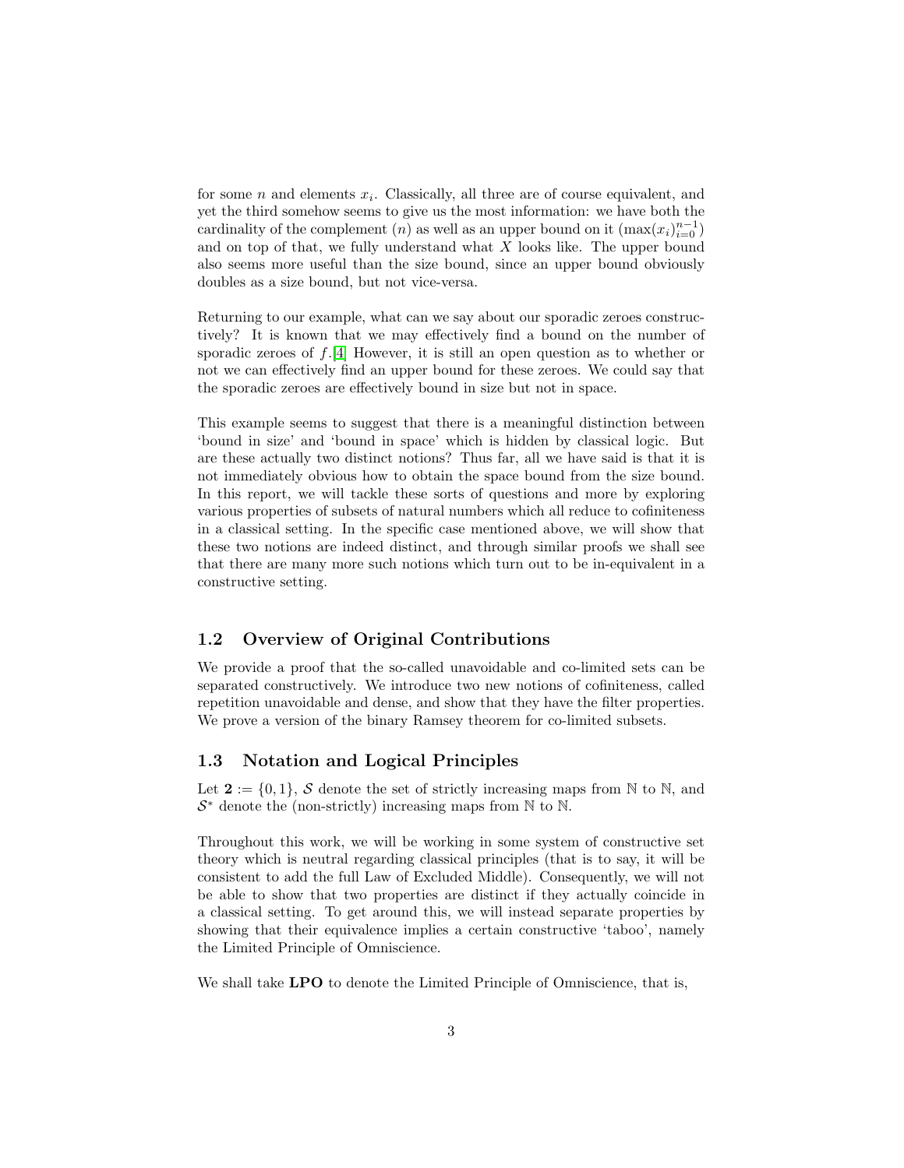for some  $n$  and elements  $x_i$ . Classically, all three are of course equivalent, and yet the third somehow seems to give us the most information: we have both the cardinality of the complement  $(n)$  as well as an upper bound on it  $(\max(x_i)_{i=0}^{n-1})$ and on top of that, we fully understand what  $X$  looks like. The upper bound also seems more useful than the size bound, since an upper bound obviously doubles as a size bound, but not vice-versa.

Returning to our example, what can we say about our sporadic zeroes constructively? It is known that we may effectively find a bound on the number of sporadic zeroes of  $f$ .[\[4\]](#page-13-1) However, it is still an open question as to whether or not we can effectively find an upper bound for these zeroes. We could say that the sporadic zeroes are effectively bound in size but not in space.

This example seems to suggest that there is a meaningful distinction between 'bound in size' and 'bound in space' which is hidden by classical logic. But are these actually two distinct notions? Thus far, all we have said is that it is not immediately obvious how to obtain the space bound from the size bound. In this report, we will tackle these sorts of questions and more by exploring various properties of subsets of natural numbers which all reduce to cofiniteness in a classical setting. In the specific case mentioned above, we will show that these two notions are indeed distinct, and through similar proofs we shall see that there are many more such notions which turn out to be in-equivalent in a constructive setting.

### <span id="page-2-0"></span>1.2 Overview of Original Contributions

We provide a proof that the so-called unavoidable and co-limited sets can be separated constructively. We introduce two new notions of cofiniteness, called repetition unavoidable and dense, and show that they have the filter properties. We prove a version of the binary Ramsey theorem for co-limited subsets.

### <span id="page-2-1"></span>1.3 Notation and Logical Principles

Let  $\mathbf{2} := \{0,1\}$ , S denote the set of strictly increasing maps from N to N, and  $S^*$  denote the (non-strictly) increasing maps from  $\mathbb N$  to  $\mathbb N$ .

Throughout this work, we will be working in some system of constructive set theory which is neutral regarding classical principles (that is to say, it will be consistent to add the full Law of Excluded Middle). Consequently, we will not be able to show that two properties are distinct if they actually coincide in a classical setting. To get around this, we will instead separate properties by showing that their equivalence implies a certain constructive 'taboo', namely the Limited Principle of Omniscience.

We shall take **LPO** to denote the Limited Principle of Omniscience, that is,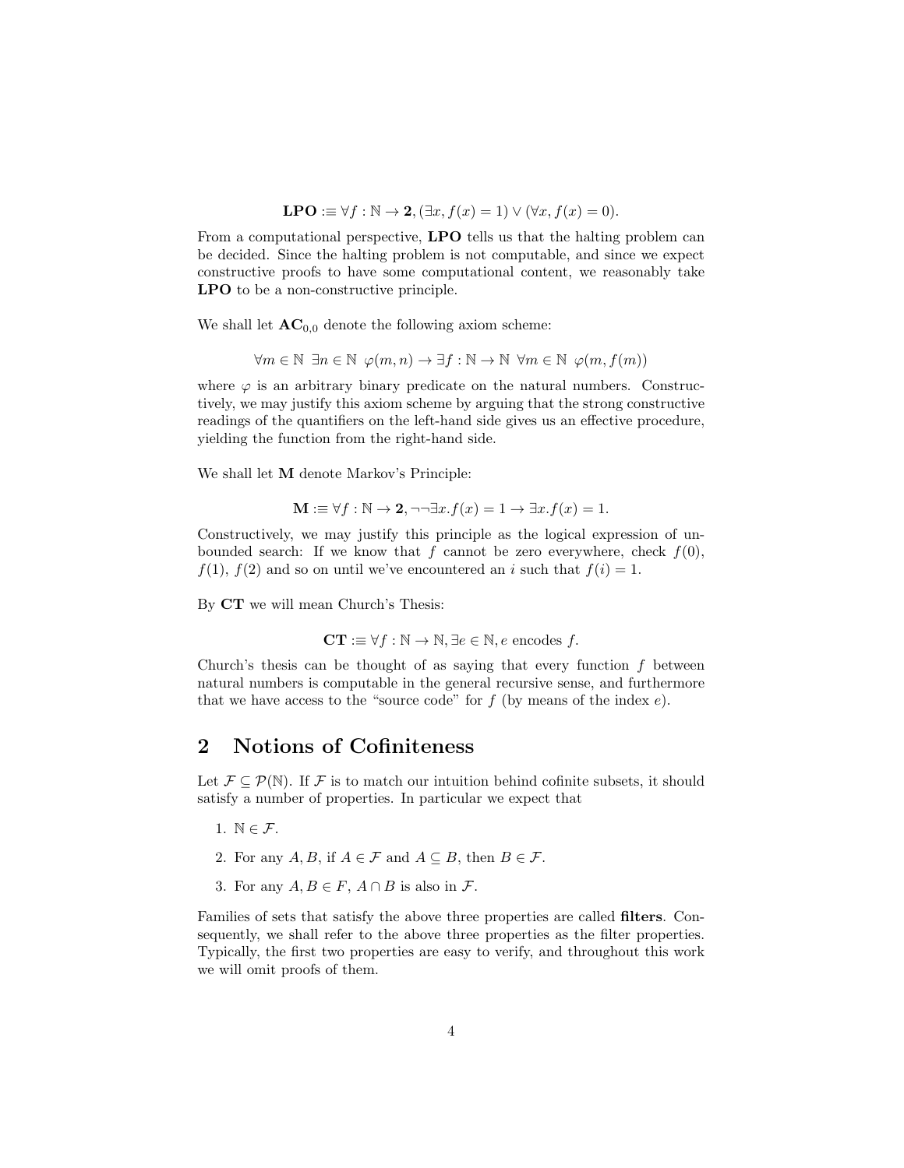$$
LPO := \forall f : \mathbb{N} \to \mathbf{2}, (\exists x, f(x) = 1) \lor (\forall x, f(x) = 0).
$$

From a computational perspective, LPO tells us that the halting problem can be decided. Since the halting problem is not computable, and since we expect constructive proofs to have some computational content, we reasonably take LPO to be a non-constructive principle.

We shall let  $AC_{0,0}$  denote the following axiom scheme:

 $\forall m \in \mathbb{N} \exists n \in \mathbb{N} \varphi(m,n) \rightarrow \exists f : \mathbb{N} \rightarrow \mathbb{N} \forall m \in \mathbb{N} \varphi(m,f(m))$ 

where  $\varphi$  is an arbitrary binary predicate on the natural numbers. Constructively, we may justify this axiom scheme by arguing that the strong constructive readings of the quantifiers on the left-hand side gives us an effective procedure, yielding the function from the right-hand side.

We shall let M denote Markov's Principle:

$$
\mathbf{M} := \forall f : \mathbb{N} \to \mathbf{2}, \neg\neg \exists x. f(x) = 1 \to \exists x. f(x) = 1.
$$

Constructively, we may justify this principle as the logical expression of unbounded search: If we know that f cannot be zero everywhere, check  $f(0)$ ,  $f(1)$ ,  $f(2)$  and so on until we've encountered an i such that  $f(i) = 1$ .

By CT we will mean Church's Thesis:

$$
CT := \forall f : \mathbb{N} \to \mathbb{N}, \exists e \in \mathbb{N}, e \text{ encodes } f.
$$

Church's thesis can be thought of as saying that every function  $f$  between natural numbers is computable in the general recursive sense, and furthermore that we have access to the "source code" for  $f$  (by means of the index  $e$ ).

# <span id="page-3-0"></span>2 Notions of Cofiniteness

Let  $\mathcal{F} \subseteq \mathcal{P}(\mathbb{N})$ . If F is to match our intuition behind cofinite subsets, it should satisfy a number of properties. In particular we expect that

- 1.  $\mathbb{N} \in \mathcal{F}$ .
- 2. For any  $A, B$ , if  $A \in \mathcal{F}$  and  $A \subseteq B$ , then  $B \in \mathcal{F}$ .
- 3. For any  $A, B \in F$ ,  $A \cap B$  is also in  $\mathcal{F}$ .

Families of sets that satisfy the above three properties are called filters. Consequently, we shall refer to the above three properties as the filter properties. Typically, the first two properties are easy to verify, and throughout this work we will omit proofs of them.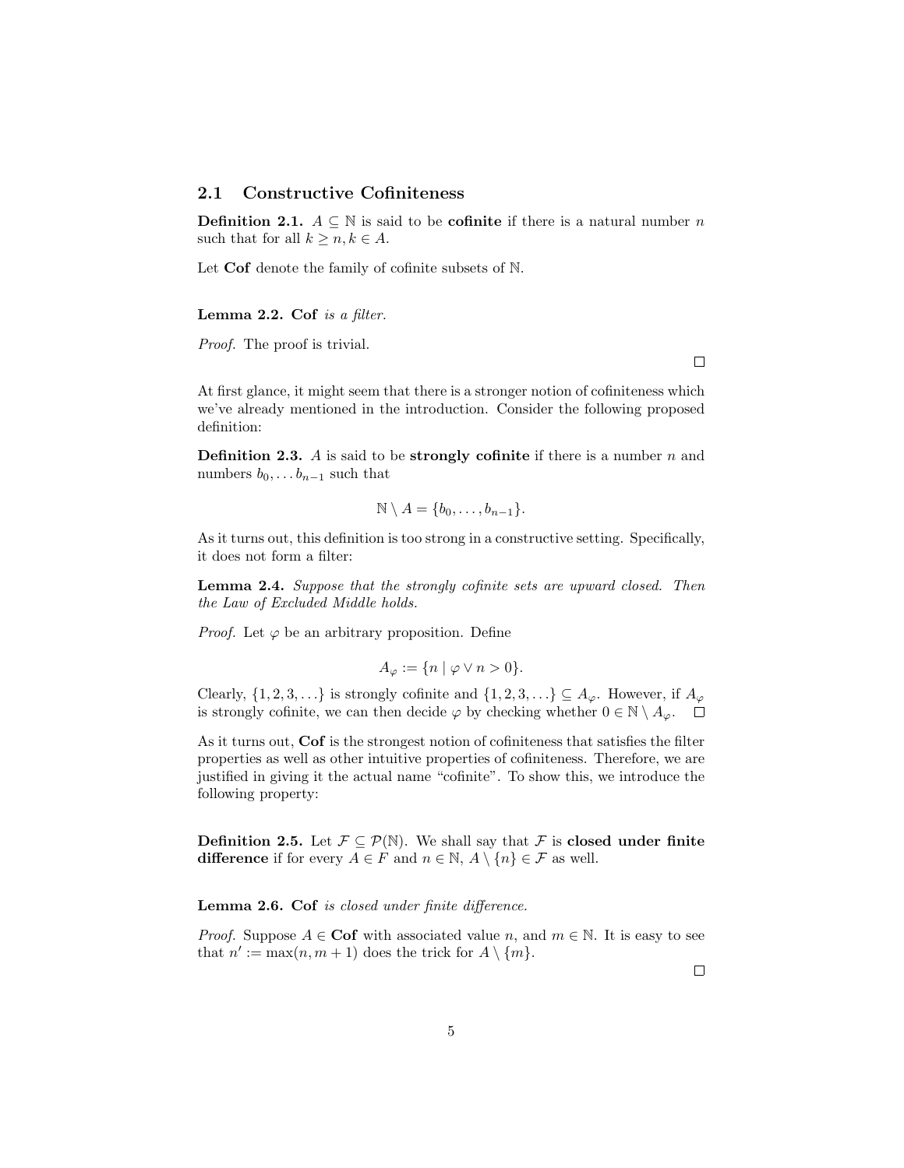## <span id="page-4-0"></span>2.1 Constructive Cofiniteness

**Definition 2.1.**  $A \subseteq \mathbb{N}$  is said to be **cofinite** if there is a natural number n such that for all  $k \geq n, k \in A$ .

Let Cof denote the family of cofinite subsets of N.

#### Lemma 2.2. Cof is a filter.

Proof. The proof is trivial.

At first glance, it might seem that there is a stronger notion of cofiniteness which we've already mentioned in the introduction. Consider the following proposed definition:

**Definition 2.3.** A is said to be **strongly cofinite** if there is a number  $n$  and numbers  $b_0, \ldots b_{n-1}$  such that

$$
\mathbb{N} \setminus A = \{b_0, \ldots, b_{n-1}\}.
$$

As it turns out, this definition is too strong in a constructive setting. Specifically, it does not form a filter:

Lemma 2.4. Suppose that the strongly cofinite sets are upward closed. Then the Law of Excluded Middle holds.

*Proof.* Let  $\varphi$  be an arbitrary proposition. Define

$$
A_{\varphi} := \{ n \mid \varphi \vee n > 0 \}.
$$

Clearly,  $\{1, 2, 3, \ldots\}$  is strongly cofinite and  $\{1, 2, 3, \ldots\} \subseteq A_{\varphi}$ . However, if  $A_{\varphi}$ is strongly cofinite, we can then decide  $\varphi$  by checking whether  $0 \in \mathbb{N} \setminus A_{\varphi}$ .  $\Box$ 

As it turns out, Cof is the strongest notion of cofiniteness that satisfies the filter properties as well as other intuitive properties of cofiniteness. Therefore, we are justified in giving it the actual name "cofinite". To show this, we introduce the following property:

**Definition 2.5.** Let  $\mathcal{F} \subseteq \mathcal{P}(\mathbb{N})$ . We shall say that  $\mathcal{F}$  is **closed under finite** difference if for every  $A \in F$  and  $n \in \mathbb{N}$ ,  $A \setminus \{n\} \in \mathcal{F}$  as well.

Lemma 2.6. Cof is closed under finite difference.

*Proof.* Suppose  $A \in \mathbf{Cof}$  with associated value n, and  $m \in \mathbb{N}$ . It is easy to see that  $n' := \max(n, m + 1)$  does the trick for  $A \setminus \{m\}.$ 

 $\Box$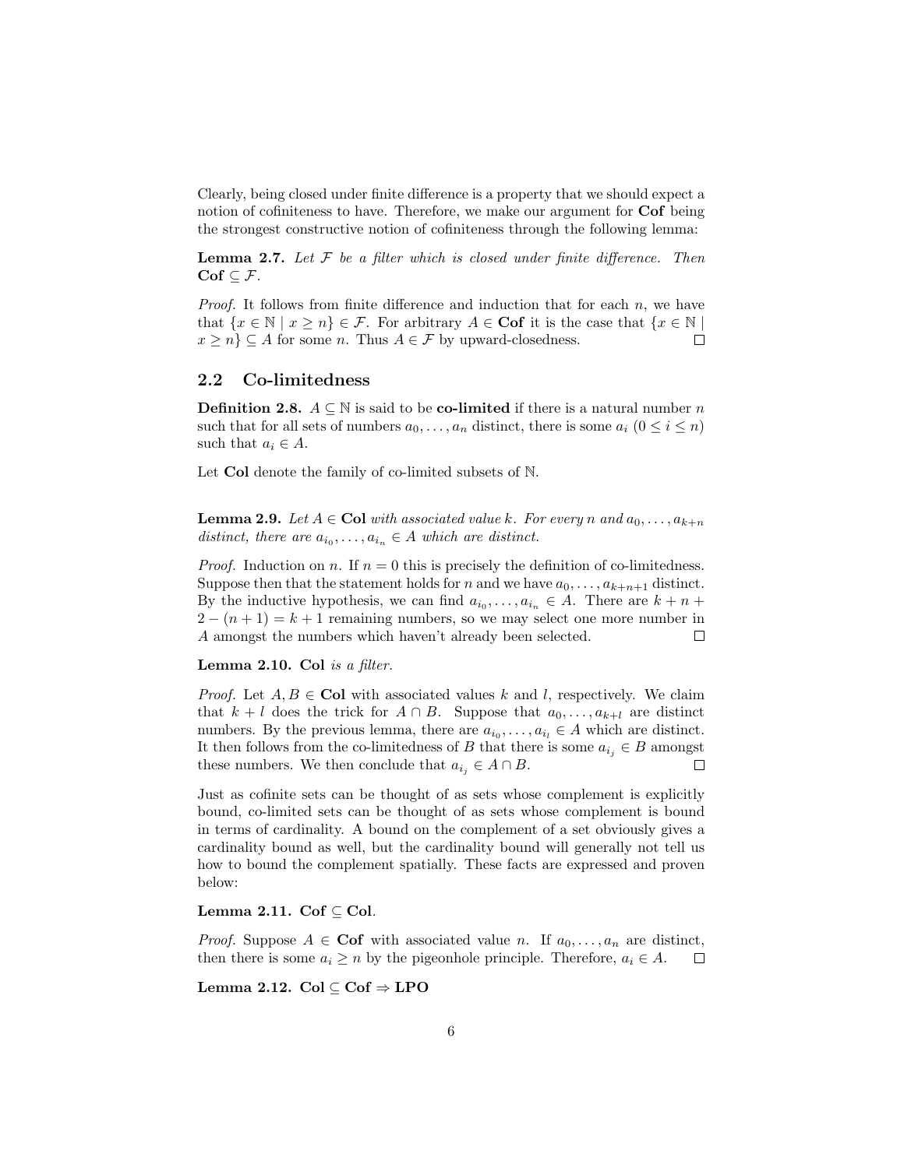Clearly, being closed under finite difference is a property that we should expect a notion of cofiniteness to have. Therefore, we make our argument for Cof being the strongest constructive notion of cofiniteness through the following lemma:

**Lemma 2.7.** Let  $F$  be a filter which is closed under finite difference. Then  $\mathbf{Cof} \subseteq \mathcal{F}.$ 

*Proof.* It follows from finite difference and induction that for each  $n$ , we have that  $\{x \in \mathbb{N} \mid x \geq n\} \in \mathcal{F}$ . For arbitrary  $A \in \mathbf{Cof}$  it is the case that  $\{x \in \mathbb{N} \mid$  $x \geq n$   $\subseteq$  A for some *n*. Thus  $A \in \mathcal{F}$  by upward-closedness.  $\Box$ 

## <span id="page-5-0"></span>2.2 Co-limitedness

**Definition 2.8.**  $A \subseteq \mathbb{N}$  is said to be **co-limited** if there is a natural number n such that for all sets of numbers  $a_0, \ldots, a_n$  distinct, there is some  $a_i$   $(0 \le i \le n)$ such that  $a_i \in A$ .

Let Col denote the family of co-limited subsets of N.

**Lemma 2.9.** Let  $A \in \text{Col}$  with associated value k. For every n and  $a_0, \ldots, a_{k+n}$ distinct, there are  $a_{i_0}, \ldots, a_{i_n} \in A$  which are distinct.

*Proof.* Induction on n. If  $n = 0$  this is precisely the definition of co-limitedness. Suppose then that the statement holds for n and we have  $a_0, \ldots, a_{k+n+1}$  distinct. By the inductive hypothesis, we can find  $a_{i_0}, \ldots, a_{i_n} \in A$ . There are  $k + n +$  $2 - (n + 1) = k + 1$  remaining numbers, so we may select one more number in A amongst the numbers which haven't already been selected.  $\Box$ 

Lemma 2.10. Col is a filter.

*Proof.* Let  $A, B \in \mathbf{Col}$  with associated values k and l, respectively. We claim that  $k + l$  does the trick for  $A \cap B$ . Suppose that  $a_0, \ldots, a_{k+l}$  are distinct numbers. By the previous lemma, there are  $a_{i_0}, \ldots, a_{i_l} \in A$  which are distinct. It then follows from the co-limitedness of B that there is some  $a_{i_j} \in B$  amongst these numbers. We then conclude that  $a_{i_j} \in A \cap B$ .  $\Box$ 

Just as cofinite sets can be thought of as sets whose complement is explicitly bound, co-limited sets can be thought of as sets whose complement is bound in terms of cardinality. A bound on the complement of a set obviously gives a cardinality bound as well, but the cardinality bound will generally not tell us how to bound the complement spatially. These facts are expressed and proven below:

#### Lemma 2.11. Cof  $\subset$  Col.

*Proof.* Suppose  $A \in \mathbf{Cof}$  with associated value n. If  $a_0, \ldots, a_n$  are distinct, then there is some  $a_i \geq n$  by the pigeonhole principle. Therefore,  $a_i \in A$ .  $\Box$ 

<span id="page-5-1"></span>Lemma 2.12. Col ⊆ Cof ⇒ LPO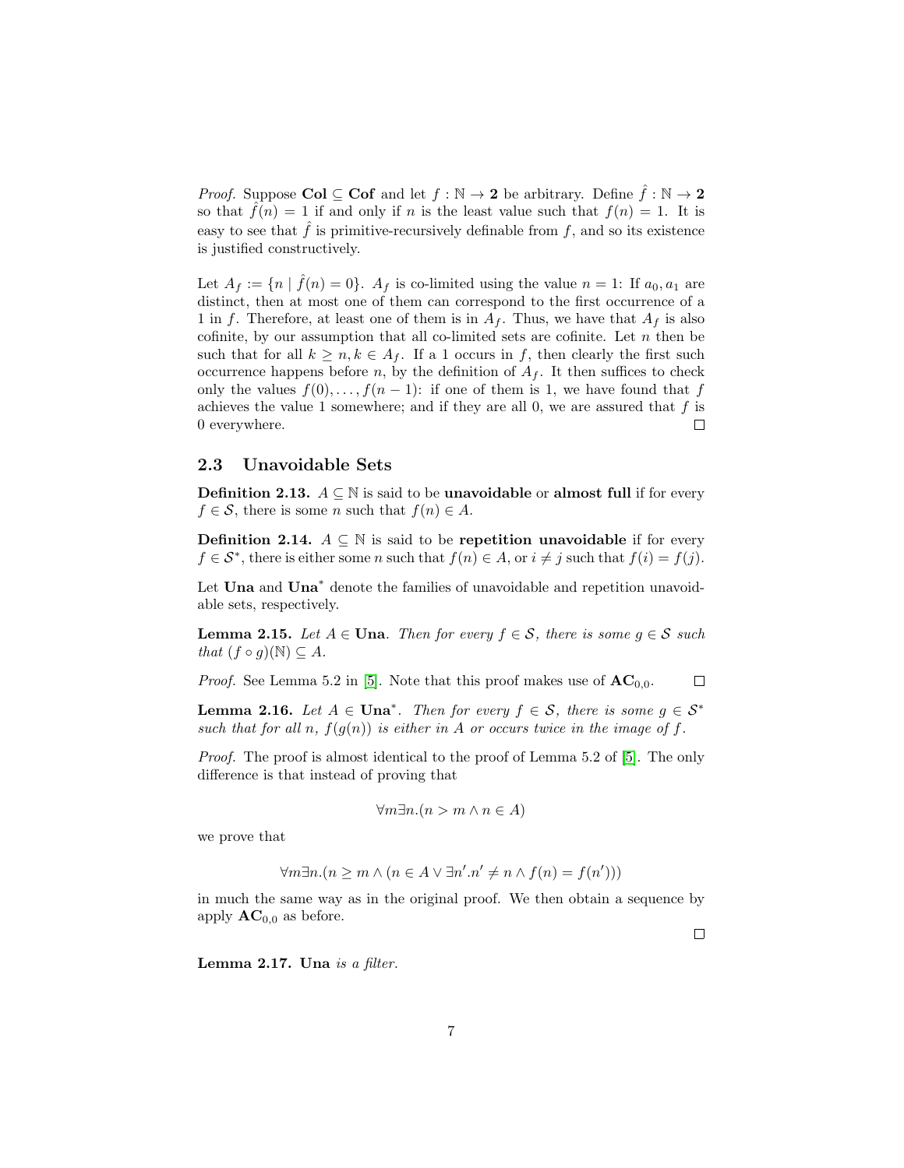*Proof.* Suppose Col  $\subseteq$  Cof and let  $f : \mathbb{N} \to 2$  be arbitrary. Define  $\hat{f} : \mathbb{N} \to 2$ so that  $\hat{f}(n) = 1$  if and only if n is the least value such that  $f(n) = 1$ . It is easy to see that  $\hat{f}$  is primitive-recursively definable from f, and so its existence is justified constructively.

Let  $A_f := \{ n \mid \hat{f}(n) = 0 \}.$   $A_f$  is co-limited using the value  $n = 1$ : If  $a_0, a_1$  are distinct, then at most one of them can correspond to the first occurrence of a 1 in f. Therefore, at least one of them is in  $A_f$ . Thus, we have that  $A_f$  is also cofinite, by our assumption that all co-limited sets are cofinite. Let  $n$  then be such that for all  $k \geq n, k \in A_f$ . If a 1 occurs in f, then clearly the first such occurrence happens before n, by the definition of  $A_f$ . It then suffices to check only the values  $f(0), \ldots, f(n-1)$ : if one of them is 1, we have found that f achieves the value 1 somewhere; and if they are all 0, we are assured that  $f$  is 0 everywhere.  $\Box$ 

### <span id="page-6-0"></span>2.3 Unavoidable Sets

**Definition 2.13.**  $A ⊆ ℕ$  is said to be **unavoidable** or **almost full** if for every  $f \in \mathcal{S}$ , there is some *n* such that  $f(n) \in A$ .

**Definition 2.14.**  $A \subseteq \mathbb{N}$  is said to be repetition unavoidable if for every  $f \in \mathcal{S}^*$ , there is either some n such that  $f(n) \in A$ , or  $i \neq j$  such that  $f(i) = f(j)$ .

Let Una and Una<sup>\*</sup> denote the families of unavoidable and repetition unavoidable sets, respectively.

<span id="page-6-1"></span>**Lemma 2.15.** Let  $A \in \mathbf{Una}$ . Then for every  $f \in \mathcal{S}$ , there is some  $g \in \mathcal{S}$  such that  $(f \circ g)(\mathbb{N}) \subseteq A$ .

*Proof.* See Lemma 5.2 in [\[5\]](#page-13-2). Note that this proof makes use of  $AC_{0,0}$ .  $\Box$ 

**Lemma 2.16.** Let  $A \in \text{Una}^*$ . Then for every  $f \in \mathcal{S}$ , there is some  $g \in \mathcal{S}^*$ such that for all n,  $f(g(n))$  is either in A or occurs twice in the image of f.

Proof. The proof is almost identical to the proof of Lemma 5.2 of [\[5\]](#page-13-2). The only difference is that instead of proving that

$$
\forall m \exists n. (n > m \land n \in A)
$$

we prove that

$$
\forall m \exists n. (n \ge m \land (n \in A \lor \exists n'. n' \ne n \land f(n) = f(n')))
$$

in much the same way as in the original proof. We then obtain a sequence by apply  $AC_{0,0}$  as before.

Lemma  $2.17$ . Una is a filter.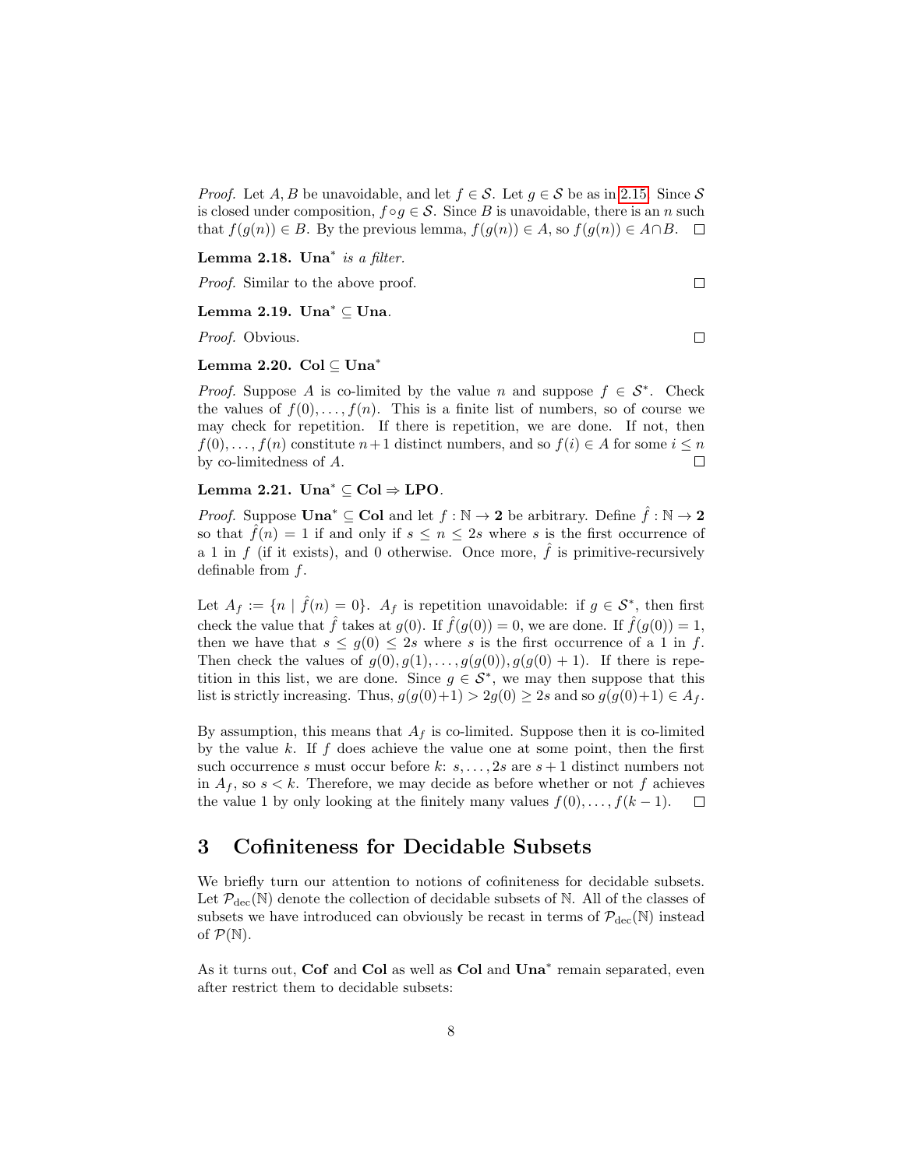*Proof.* Let A, B be unavoidable, and let  $f \in \mathcal{S}$ . Let  $g \in \mathcal{S}$  be as in [2.15.](#page-6-1) Since  $\mathcal{S}$ is closed under composition,  $f \circ g \in \mathcal{S}$ . Since B is unavoidable, there is an n such that  $f(g(n)) \in B$ . By the previous lemma,  $f(g(n)) \in A$ , so  $f(g(n)) \in A \cap B$ .  $\Box$ 

Lemma 2.18. Una<sup>\*</sup> is a filter.

Proof. Similar to the above proof.

#### Lemma 2.19. Una<sup>∗</sup> ⊆ Una.

Proof. Obvious.

#### Lemma 2.20. Col ⊆ Una<sup>∗</sup>

*Proof.* Suppose A is co-limited by the value n and suppose  $f \in S^*$ . Check the values of  $f(0), \ldots, f(n)$ . This is a finite list of numbers, so of course we may check for repetition. If there is repetition, we are done. If not, then  $f(0), \ldots, f(n)$  constitute  $n+1$  distinct numbers, and so  $f(i) \in A$  for some  $i \leq n$ by co-limitedness of A.  $\Box$ 

### <span id="page-7-1"></span>Lemma 2.21. Una<sup>\*</sup> ⊆ Col  $\Rightarrow$  LPO.

*Proof.* Suppose  $\text{Una}^* \subseteq \text{Col}$  and let  $f : \mathbb{N} \to \textbf{2}$  be arbitrary. Define  $\hat{f} : \mathbb{N} \to \textbf{2}$ so that  $\tilde{f}(n) = 1$  if and only if  $s \leq n \leq 2s$  where s is the first occurrence of a 1 in f (if it exists), and 0 otherwise. Once more,  $\hat{f}$  is primitive-recursively definable from f.

Let  $A_f := \{ n \mid \hat{f}(n) = 0 \}.$   $A_f$  is repetition unavoidable: if  $g \in \mathcal{S}^*$ , then first check the value that  $\hat{f}$  takes at  $g(0)$ . If  $\hat{f}(g(0)) = 0$ , we are done. If  $\hat{f}(g(0)) = 1$ , then we have that  $s \leq g(0) \leq 2s$  where s is the first occurrence of a 1 in f. Then check the values of  $g(0), g(1), \ldots, g(g(0)), g(g(0) + 1)$ . If there is repetition in this list, we are done. Since  $g \in \mathcal{S}^*$ , we may then suppose that this list is strictly increasing. Thus,  $g(g(0)+1) > 2g(0) \geq 2s$  and so  $g(g(0)+1) \in A_f$ .

By assumption, this means that  $A_f$  is co-limited. Suppose then it is co-limited by the value  $k$ . If  $f$  does achieve the value one at some point, then the first such occurrence s must occur before k:  $s, \ldots, 2s$  are  $s + 1$  distinct numbers not in  $A_f$ , so  $s < k$ . Therefore, we may decide as before whether or not f achieves the value 1 by only looking at the finitely many values  $f(0), \ldots, f(k-1)$ .  $\Box$ 

# <span id="page-7-0"></span>3 Cofiniteness for Decidable Subsets

We briefly turn our attention to notions of cofiniteness for decidable subsets. Let  $\mathcal{P}_{\text{dec}}(\mathbb{N})$  denote the collection of decidable subsets of  $\mathbb{N}$ . All of the classes of subsets we have introduced can obviously be recast in terms of  $\mathcal{P}_{\text{dec}}(\mathbb{N})$  instead of  $\mathcal{P}(\mathbb{N}).$ 

As it turns out, Cof and Col as well as Col and Una<sup>\*</sup> remain separated, even after restrict them to decidable subsets:

 $\Box$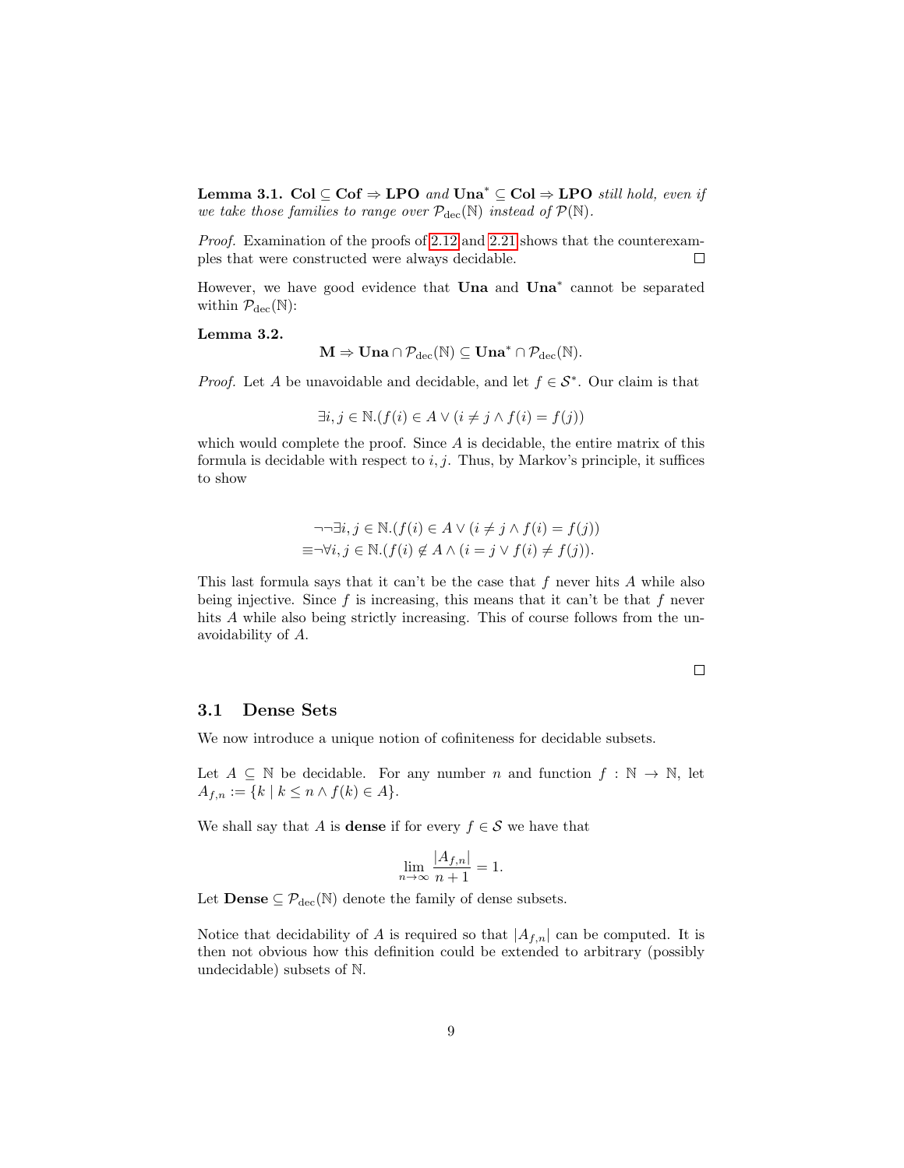Lemma 3.1. Col ⊆ Cof  $\Rightarrow$  LPO and Una<sup>\*</sup> ⊆ Col  $\Rightarrow$  LPO still hold, even if we take those families to range over  $\mathcal{P}_{\text{dec}}(\mathbb{N})$  instead of  $\mathcal{P}(\mathbb{N})$ .

Proof. Examination of the proofs of [2.12](#page-5-1) and [2.21](#page-7-1) shows that the counterexamples that were constructed were always decidable.  $\Box$ 

However, we have good evidence that **Una** and **Una**<sup>\*</sup> cannot be separated within  $\mathcal{P}_{\text{dec}}(\mathbb{N})$ :

#### Lemma 3.2.

$$
M \Rightarrow Una \cap \mathcal{P}_{dec}(\mathbb{N}) \subseteq Una^* \cap \mathcal{P}_{dec}(\mathbb{N}).
$$

*Proof.* Let A be unavoidable and decidable, and let  $f \in \mathcal{S}^*$ . Our claim is that

$$
\exists i, j \in \mathbb{N}. (f(i) \in A \lor (i \neq j \land f(i) = f(j))
$$

which would complete the proof. Since  $A$  is decidable, the entire matrix of this formula is decidable with respect to  $i, j$ . Thus, by Markov's principle, it suffices to show

$$
\neg \neg \exists i, j \in \mathbb{N}. (f(i) \in A \lor (i \neq j \land f(i) = f(j))
$$
  

$$
\equiv \neg \forall i, j \in \mathbb{N}. (f(i) \not\in A \land (i = j \lor f(i) \neq f(j)).
$$

This last formula says that it can't be the case that  $f$  never hits  $A$  while also being injective. Since  $f$  is increasing, this means that it can't be that  $f$  never hits A while also being strictly increasing. This of course follows from the unavoidability of A.

 $\Box$ 

#### <span id="page-8-0"></span>3.1 Dense Sets

We now introduce a unique notion of cofiniteness for decidable subsets.

Let  $A \subseteq \mathbb{N}$  be decidable. For any number n and function  $f : \mathbb{N} \to \mathbb{N}$ , let  $A_{f,n} := \{ k \mid k \leq n \wedge f(k) \in A \}.$ 

We shall say that A is **dense** if for every  $f \in \mathcal{S}$  we have that

$$
\lim_{n \to \infty} \frac{|A_{f,n}|}{n+1} = 1.
$$

Let **Dense**  $\subseteq \mathcal{P}_{\text{dec}}(\mathbb{N})$  denote the family of dense subsets.

Notice that decidability of A is required so that  $|A_{f,n}|$  can be computed. It is then not obvious how this definition could be extended to arbitrary (possibly undecidable) subsets of N.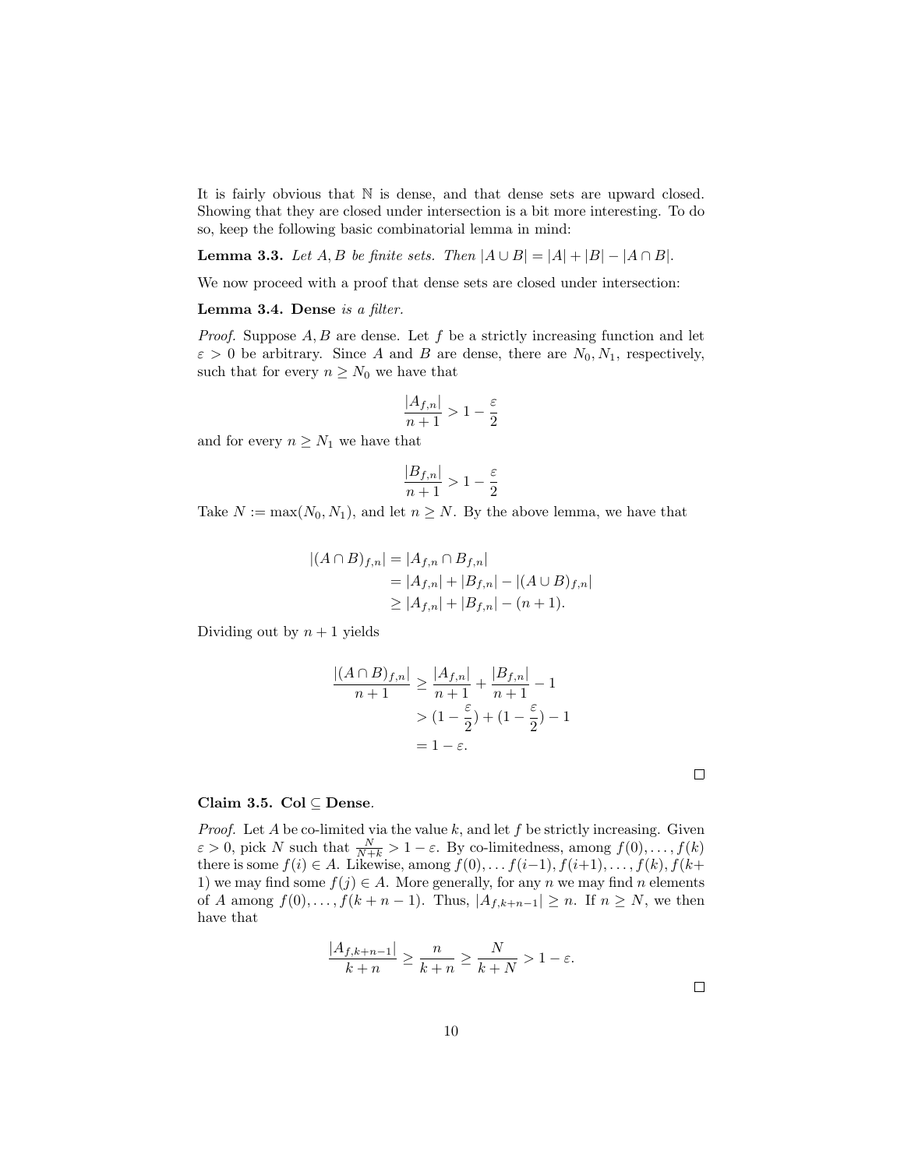It is fairly obvious that N is dense, and that dense sets are upward closed. Showing that they are closed under intersection is a bit more interesting. To do so, keep the following basic combinatorial lemma in mind:

**Lemma 3.3.** Let  $A, B$  be finite sets. Then  $|A \cup B| = |A| + |B| - |A \cap B|$ .

We now proceed with a proof that dense sets are closed under intersection:

<span id="page-9-0"></span>Lemma 3.4. Dense is a filter.

*Proof.* Suppose  $A, B$  are dense. Let f be a strictly increasing function and let  $\varepsilon > 0$  be arbitrary. Since A and B are dense, there are  $N_0, N_1$ , respectively, such that for every  $n \geq N_0$  we have that

$$
\frac{|A_{f,n}|}{n+1} > 1 - \frac{\varepsilon}{2}
$$

and for every  $n \geq N_1$  we have that

$$
\frac{|B_{f,n}|}{n+1} > 1 - \frac{\varepsilon}{2}
$$

Take  $N := \max(N_0, N_1)$ , and let  $n \geq N$ . By the above lemma, we have that

$$
|(A \cap B)_{f,n}| = |A_{f,n} \cap B_{f,n}|
$$
  
= |A\_{f,n}| + |B\_{f,n}| - |(A \cup B)\_{f,n}|  

$$
\ge |A_{f,n}| + |B_{f,n}| - (n+1).
$$

Dividing out by  $n + 1$  yields

$$
\frac{|(A \cap B)_{f,n}|}{n+1} \ge \frac{|A_{f,n}|}{n+1} + \frac{|B_{f,n}|}{n+1} - 1
$$
  
>  $(1 - \frac{\varepsilon}{2}) + (1 - \frac{\varepsilon}{2}) - 1$   
=  $1 - \varepsilon$ .

#### Claim 3.5. Col  $\subseteq$  Dense.

*Proof.* Let  $A$  be co-limited via the value  $k$ , and let  $f$  be strictly increasing. Given  $\varepsilon > 0$ , pick N such that  $\frac{N}{N+k} > 1 - \varepsilon$ . By co-limitedness, among  $f(0), \ldots, f(k)$ there is some  $f(i) \in A$ . Likewise, among  $f(0), \ldots, f(i-1), f(i+1), \ldots, f(k), f(k+1)$ 1) we may find some  $f(j) \in A$ . More generally, for any n we may find n elements of A among  $f(0), \ldots, f(k+n-1)$ . Thus,  $|A_{f,k+n-1}| \geq n$ . If  $n \geq N$ , we then have that

$$
\frac{|A_{f,k+n-1}|}{k+n} \ge \frac{n}{k+n} \ge \frac{N}{k+N} > 1-\varepsilon.
$$

 $\Box$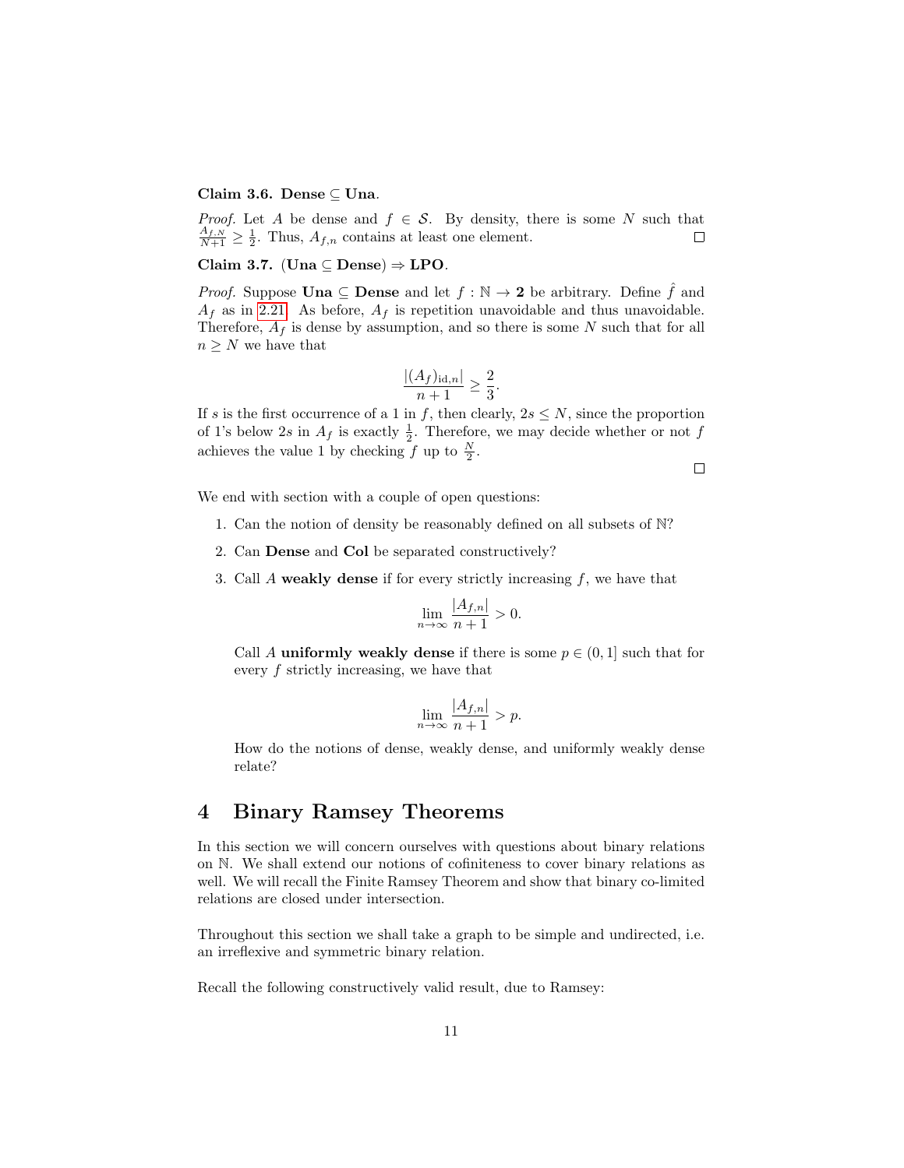#### Claim 3.6. Dense ⊆ Una.

*Proof.* Let A be dense and  $f \in S$ . By density, there is some N such that  $\frac{A_{f,N}}{N+1} \geq \frac{1}{2}$ . Thus,  $A_{f,n}$  contains at least one element.  $\Box$ 

#### Claim 3.7. (Una  $\subseteq$  Dense)  $\Rightarrow$  LPO.

*Proof.* Suppose **Una**  $\subseteq$  **Dense** and let  $f : \mathbb{N} \to 2$  be arbitrary. Define  $\hat{f}$  and  $A_f$  as in [2.21.](#page-7-1) As before,  $A_f$  is repetition unavoidable and thus unavoidable. Therefore,  $A_f$  is dense by assumption, and so there is some N such that for all  $n \geq N$  we have that

$$
\frac{|(A_f)_{\mathrm{id},n}|}{n+1} \ge \frac{2}{3}.
$$

If s is the first occurrence of a 1 in f, then clearly,  $2s \leq N$ , since the proportion of 1's below 2s in  $A_f$  is exactly  $\frac{1}{2}$ . Therefore, we may decide whether or not f achieves the value 1 by checking  $f$  up to  $\frac{N}{2}$ .

 $\Box$ 

We end with section with a couple of open questions:

- 1. Can the notion of density be reasonably defined on all subsets of N?
- 2. Can Dense and Col be separated constructively?
- 3. Call A weakly dense if for every strictly increasing  $f$ , we have that

$$
\lim_{n \to \infty} \frac{|A_{f,n}|}{n+1} > 0.
$$

Call A uniformly weakly dense if there is some  $p \in (0, 1]$  such that for every f strictly increasing, we have that

$$
\lim_{n \to \infty} \frac{|A_{f,n}|}{n+1} > p.
$$

How do the notions of dense, weakly dense, and uniformly weakly dense relate?

# <span id="page-10-0"></span>4 Binary Ramsey Theorems

In this section we will concern ourselves with questions about binary relations on N. We shall extend our notions of cofiniteness to cover binary relations as well. We will recall the Finite Ramsey Theorem and show that binary co-limited relations are closed under intersection.

Throughout this section we shall take a graph to be simple and undirected, i.e. an irreflexive and symmetric binary relation.

Recall the following constructively valid result, due to Ramsey: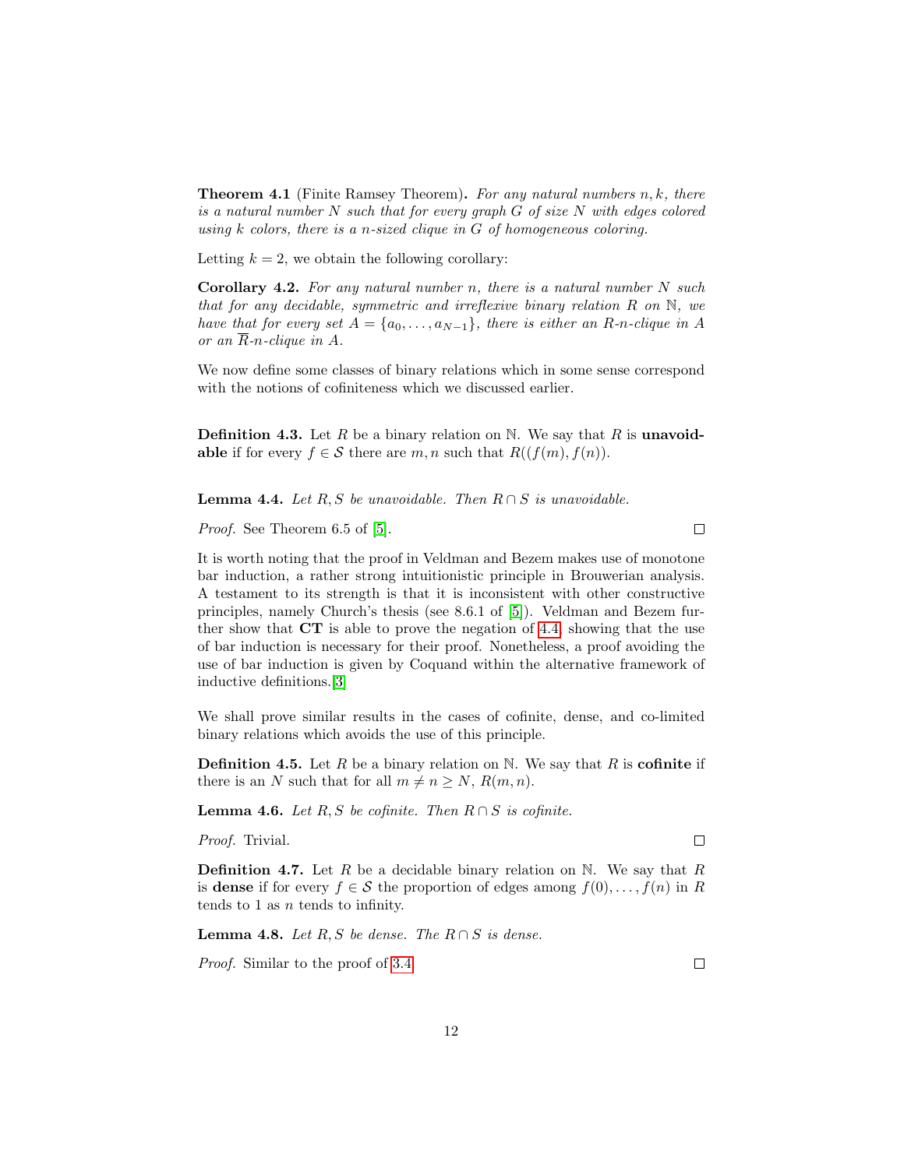**Theorem 4.1** (Finite Ramsey Theorem). For any natural numbers  $n, k$ , there is a natural number N such that for every graph G of size N with edges colored using  $k$  colors, there is a n-sized clique in  $G$  of homogeneous coloring.

Letting  $k = 2$ , we obtain the following corollary:

<span id="page-11-1"></span>**Corollary 4.2.** For any natural number n, there is a natural number  $N$  such that for any decidable, symmetric and irreflexive binary relation R on N, we have that for every set  $A = \{a_0, \ldots, a_{N-1}\}\$ , there is either an R-n-clique in A or an  $\overline{R}$ -n-clique in A.

We now define some classes of binary relations which in some sense correspond with the notions of cofiniteness which we discussed earlier.

**Definition 4.3.** Let R be a binary relation on N. We say that R is **unavoid**able if for every  $f \in \mathcal{S}$  there are  $m, n$  such that  $R((f(m), f(n))$ .

<span id="page-11-0"></span>**Lemma 4.4.** Let R, S be unavoidable. Then  $R \cap S$  is unavoidable.

Proof. See Theorem 6.5 of [\[5\]](#page-13-2).

 $\Box$ 

It is worth noting that the proof in Veldman and Bezem makes use of monotone bar induction, a rather strong intuitionistic principle in Brouwerian analysis. A testament to its strength is that it is inconsistent with other constructive principles, namely Church's thesis (see 8.6.1 of [\[5\]](#page-13-2)). Veldman and Bezem further show that  $CT$  is able to prove the negation of [4.4,](#page-11-0) showing that the use of bar induction is necessary for their proof. Nonetheless, a proof avoiding the use of bar induction is given by Coquand within the alternative framework of inductive definitions.[\[3\]](#page-13-3)

We shall prove similar results in the cases of cofinite, dense, and co-limited binary relations which avoids the use of this principle.

**Definition 4.5.** Let R be a binary relation on N. We say that R is **cofinite** if there is an N such that for all  $m \neq n \geq N$ ,  $R(m, n)$ .

**Lemma 4.6.** Let R, S be cofinite. Then  $R \cap S$  is cofinite.

Proof. Trivial.

**Definition 4.7.** Let R be a decidable binary relation on N. We say that R is dense if for every  $f \in \mathcal{S}$  the proportion of edges among  $f(0), \ldots, f(n)$  in R tends to 1 as  $n$  tends to infinity.

**Lemma 4.8.** Let R, S be dense. The  $R \cap S$  is dense.

Proof. Similar to the proof of [3.4.](#page-9-0)

 $\Box$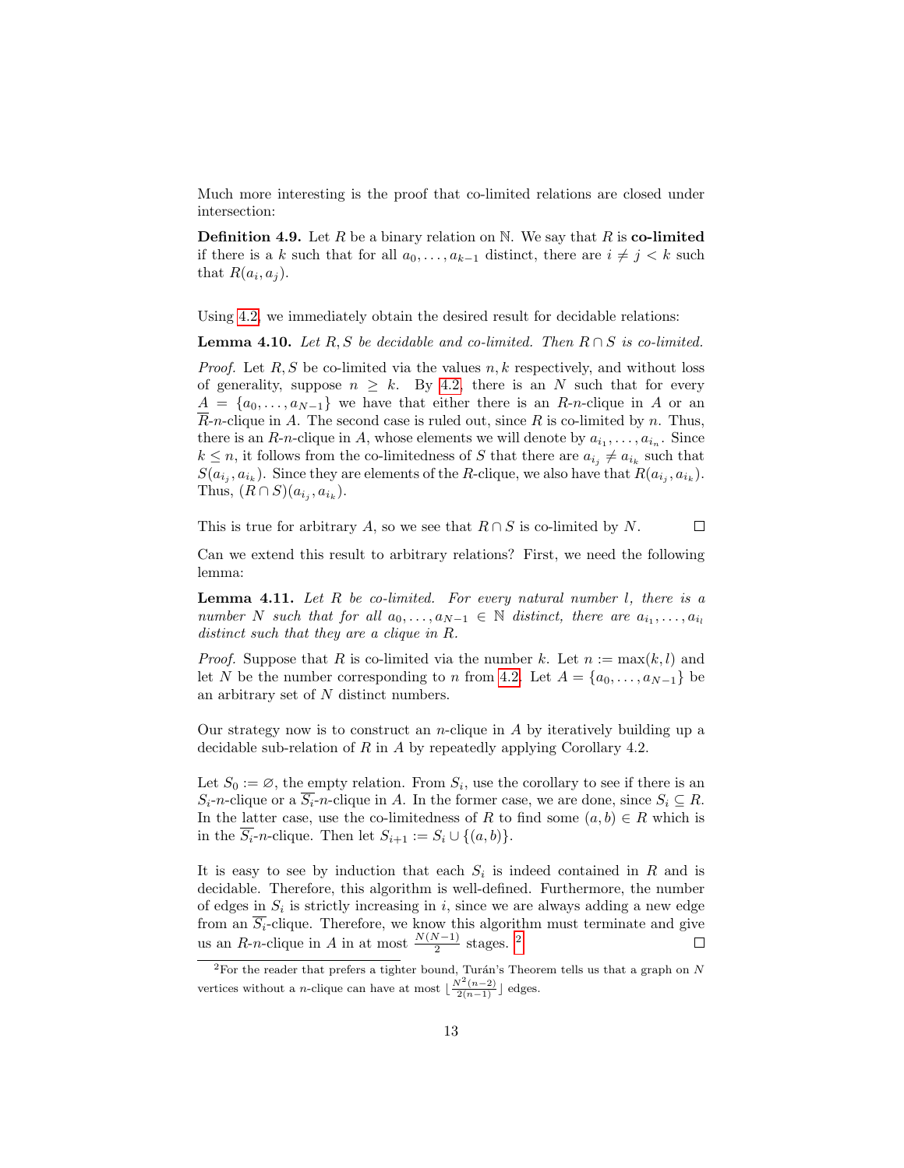Much more interesting is the proof that co-limited relations are closed under intersection:

**Definition 4.9.** Let R be a binary relation on N. We say that R is co-limited if there is a k such that for all  $a_0, \ldots, a_{k-1}$  distinct, there are  $i \neq j < k$  such that  $R(a_i, a_j)$ .

Using [4.2,](#page-11-1) we immediately obtain the desired result for decidable relations:

**Lemma 4.10.** Let R, S be decidable and co-limited. Then  $R \cap S$  is co-limited.

*Proof.* Let  $R, S$  be co-limited via the values  $n, k$  respectively, and without loss of generality, suppose  $n \geq k$ . By [4.2,](#page-11-1) there is an N such that for every  $A = \{a_0, \ldots, a_{N-1}\}\$  we have that either there is an R-n-clique in A or an  $\overline{R}$ -*n*-clique in A. The second case is ruled out, since R is co-limited by n. Thus, there is an  $R$ -n-clique in A, whose elements we will denote by  $a_{i_1}, \ldots, a_{i_n}$ . Since  $k \leq n$ , it follows from the co-limitedness of S that there are  $a_{i_j} \neq a_{i_k}$  such that  $S(a_{i_j}, a_{i_k})$ . Since they are elements of the R-clique, we also have that  $R(a_{i_j}, a_{i_k})$ . Thus,  $(R \cap S)(a_{i_j}, a_{i_k}).$ 

This is true for arbitrary A, so we see that  $R \cap S$  is co-limited by N.  $\Box$ 

Can we extend this result to arbitrary relations? First, we need the following lemma:

**Lemma 4.11.** Let  $R$  be co-limited. For every natural number  $l$ , there is a number N such that for all  $a_0, \ldots, a_{N-1} \in \mathbb{N}$  distinct, there are  $a_{i_1}, \ldots, a_{i_l}$ distinct such that they are a clique in R.

*Proof.* Suppose that R is co-limited via the number k. Let  $n := max(k, l)$  and let N be the number corresponding to n from [4.2.](#page-11-1) Let  $A = \{a_0, \ldots, a_{N-1}\}\$  be an arbitrary set of N distinct numbers.

Our strategy now is to construct an *n*-clique in  $A$  by iteratively building up a decidable sub-relation of R in A by repeatedly applying Corollary 4.2.

Let  $S_0 := \emptyset$ , the empty relation. From  $S_i$ , use the corollary to see if there is an  $S_i$ -n-clique or a  $\overline{S_i}$ -n-clique in A. In the former case, we are done, since  $S_i \subseteq R$ . In the latter case, use the co-limitedness of R to find some  $(a, b) \in R$  which is in the  $\overline{S_i}$ -n-clique. Then let  $S_{i+1} := S_i \cup \{(a, b)\}.$ 

It is easy to see by induction that each  $S_i$  is indeed contained in R and is decidable. Therefore, this algorithm is well-defined. Furthermore, the number of edges in  $S_i$  is strictly increasing in i, since we are always adding a new edge from an  $S_i$ -clique. Therefore, we know this algorithm must terminate and give us an R-n-clique in A in at most  $\frac{N(N-1)}{2}$  $\frac{N(N-1)}{2}$  $\frac{N(N-1)}{2}$  stages. <sup>2</sup>

<span id="page-12-0"></span> $\sqrt[2]{2}$ For the reader that prefers a tighter bound, Turán's Theorem tells us that a graph on N vertices without a *n*-clique can have at most  $\lfloor \frac{N^2(n-2)}{2(n-1)} \rfloor$  edges.